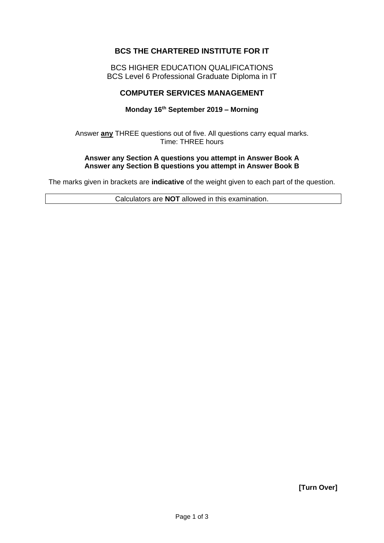# **BCS THE CHARTERED INSTITUTE FOR IT**

BCS HIGHER EDUCATION QUALIFICATIONS BCS Level 6 Professional Graduate Diploma in IT

# **COMPUTER SERVICES MANAGEMENT**

#### **Monday 16th September 2019 – Morning**

Answer **any** THREE questions out of five. All questions carry equal marks. Time: THREE hours

#### **Answer any Section A questions you attempt in Answer Book A Answer any Section B questions you attempt in Answer Book B**

The marks given in brackets are **indicative** of the weight given to each part of the question.

Calculators are **NOT** allowed in this examination.

**[Turn Over]**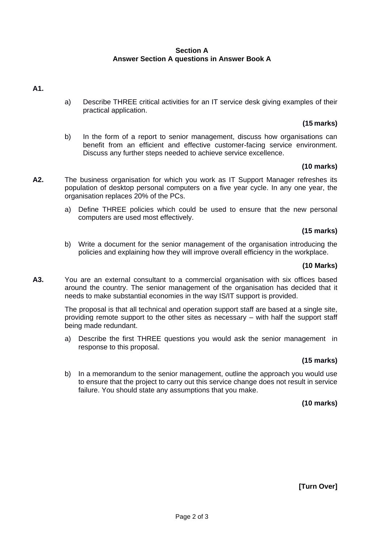# **Section A Answer Section A questions in Answer Book A**

# **A1.**

a) Describe THREE critical activities for an IT service desk giving examples of their practical application.

# **(15 marks)**

b) In the form of a report to senior management, discuss how organisations can benefit from an efficient and effective customer-facing service environment. Discuss any further steps needed to achieve service excellence.

# **(10 marks)**

- **A2.** The business organisation for which you work as IT Support Manager refreshes its population of desktop personal computers on a five year cycle. In any one year, the organisation replaces 20% of the PCs.
	- a) Define THREE policies which could be used to ensure that the new personal computers are used most effectively.

### **(15 marks)**

b) Write a document for the senior management of the organisation introducing the policies and explaining how they will improve overall efficiency in the workplace.

#### **(10 Marks)**

**A3.** You are an external consultant to a commercial organisation with six offices based around the country. The senior management of the organisation has decided that it needs to make substantial economies in the way IS/IT support is provided.

> The proposal is that all technical and operation support staff are based at a single site, providing remote support to the other sites as necessary – with half the support staff being made redundant.

> a) Describe the first THREE questions you would ask the senior management in response to this proposal.

### **(15 marks)**

b) In a memorandum to the senior management, outline the approach you would use to ensure that the project to carry out this service change does not result in service failure. You should state any assumptions that you make.

### **(10 marks)**

**[Turn Over]**